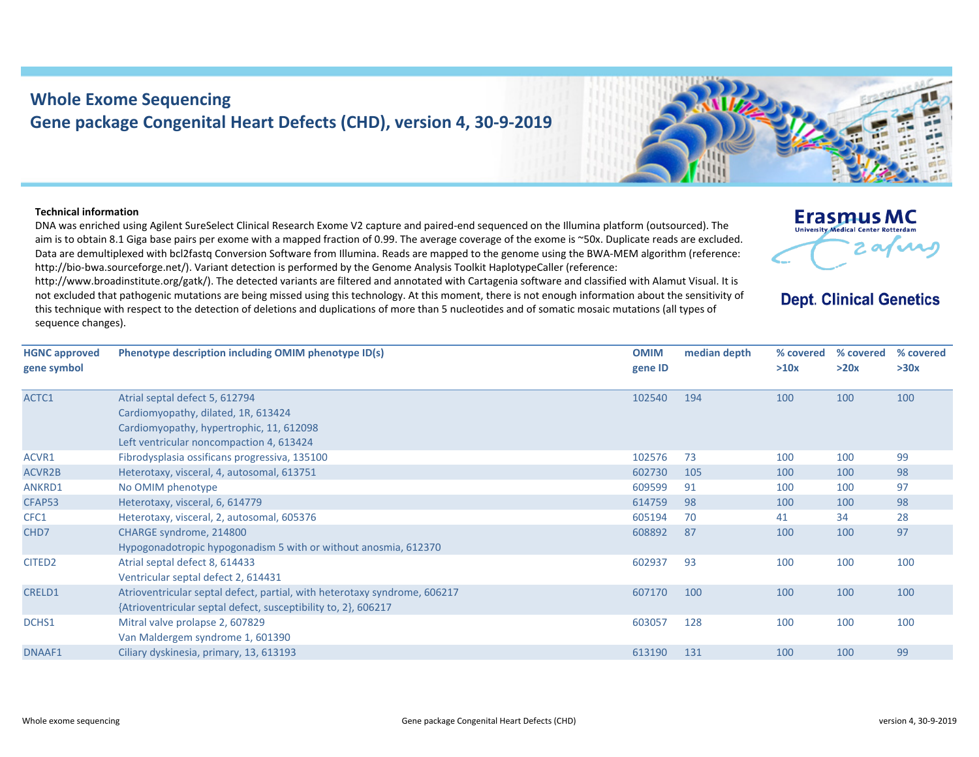## **Whole Exome Sequencing Gene package Congenital Heart Defects (CHD), version 4, 30‐9‐2019**

## **Technical information**

DNA was enriched using Agilent SureSelect Clinical Research Exome V2 capture and paired‐end sequenced on the Illumina platform (outsourced). The aim is to obtain 8.1 Giga base pairs per exome with a mapped fraction of 0.99. The average coverage of the exome is ~50x. Duplicate reads are excluded. Data are demultiplexed with bcl2fastg Conversion Software from Illumina. Reads are mapped to the genome using the BWA-MEM algorithm (reference: http://bio-bwa.sourceforge.net/). Variant detection is performed by the Genome Analysis Toolkit HaplotypeCaller (reference:

http://www.broadinstitute.org/gatk/). The detected variants are filtered and annotated with Cartagenia software and classified with Alamut Visual. It is not excluded that pathogenic mutations are being missed using this technology. At this moment, there is not enough information about the sensitivity of this technique with respect to the detection of deletions and duplications of more than 5 nucleotides and of somatic mosaic mutations (all types of sequence changes).

| <b>HGNC approved</b><br>gene symbol | Phenotype description including OMIM phenotype ID(s)                                                                                                          | <b>OMIM</b><br>gene ID | median depth | % covered<br>>10x |
|-------------------------------------|---------------------------------------------------------------------------------------------------------------------------------------------------------------|------------------------|--------------|-------------------|
| ACTC1                               | Atrial septal defect 5, 612794<br>Cardiomyopathy, dilated, 1R, 613424<br>Cardiomyopathy, hypertrophic, 11, 612098<br>Left ventricular noncompaction 4, 613424 | 102540                 | 194          | 100               |
| $\Lambda$ $\Gamma$ $\Lambda$ $R$ 1  | Eibroducolacia oscificano progressiva 135100                                                                                                                  | 102576                 | 72           | 100               |

| gene symbol        |                                                                                                                                             | gene ID |     | >10x | >20x | >30x |
|--------------------|---------------------------------------------------------------------------------------------------------------------------------------------|---------|-----|------|------|------|
| ACTC1              | Atrial septal defect 5, 612794<br>Cardiomyopathy, dilated, 1R, 613424                                                                       | 102540  | 194 | 100  | 100  | 100  |
|                    | Cardiomyopathy, hypertrophic, 11, 612098<br>Left ventricular noncompaction 4, 613424                                                        |         |     |      |      |      |
| ACVR1              | Fibrodysplasia ossificans progressiva, 135100                                                                                               | 102576  | 73  | 100  | 100  | 99   |
| ACVR2B             | Heterotaxy, visceral, 4, autosomal, 613751                                                                                                  | 602730  | 105 | 100  | 100  | 98   |
| ANKRD1             | No OMIM phenotype                                                                                                                           | 609599  | 91  | 100  | 100  | 97   |
| CFAP53             | Heterotaxy, visceral, 6, 614779                                                                                                             | 614759  | 98  | 100  | 100  | 98   |
| CFC1               | Heterotaxy, visceral, 2, autosomal, 605376                                                                                                  | 605194  | 70  | 41   | 34   | 28   |
| CHD7               | CHARGE syndrome, 214800<br>Hypogonadotropic hypogonadism 5 with or without anosmia, 612370                                                  | 608892  | 87  | 100  | 100  | 97   |
| CITED <sub>2</sub> | Atrial septal defect 8, 614433<br>Ventricular septal defect 2, 614431                                                                       | 602937  | 93  | 100  | 100  | 100  |
| CRELD1             | Atrioventricular septal defect, partial, with heterotaxy syndrome, 606217<br>{Atrioventricular septal defect, susceptibility to, 2}, 606217 | 607170  | 100 | 100  | 100  | 100  |
| DCHS1              | Mitral valve prolapse 2, 607829<br>Van Maldergem syndrome 1, 601390                                                                         | 603057  | 128 | 100  | 100  | 100  |
| DNAAF1             | Ciliary dyskinesia, primary, 13, 613193                                                                                                     | 613190  | 131 | 100  | 100  | 99   |



**% covered % covered** 

**Erasmus MC** University Medical Center Rotterdam

**Dept. Clinical Genetics**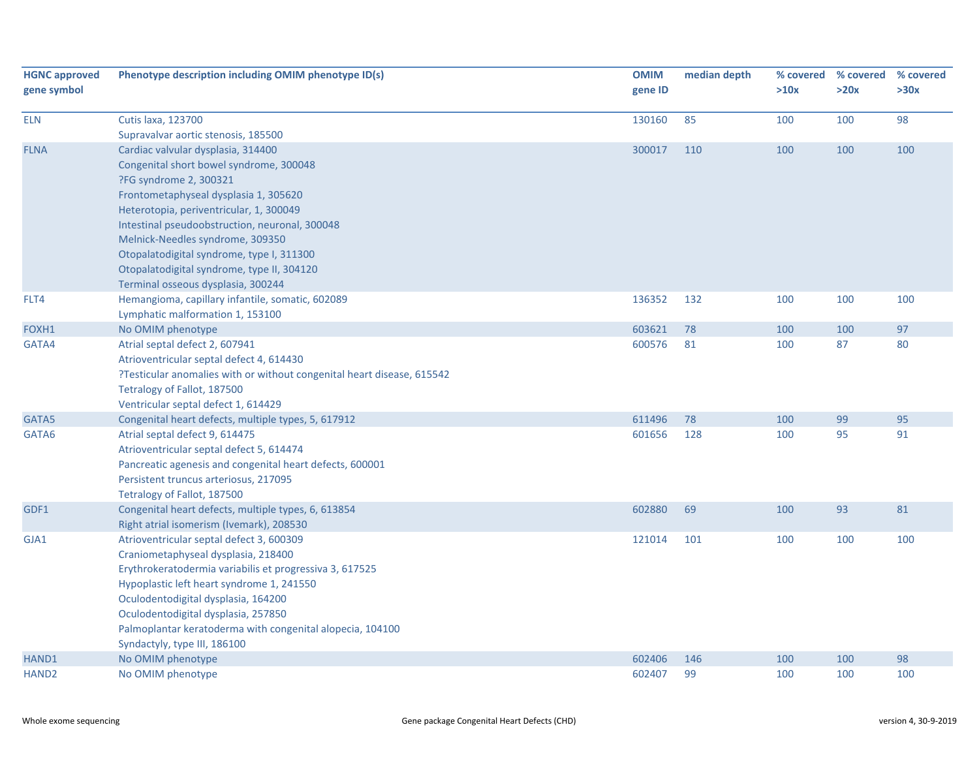| <b>HGNC approved</b><br>gene symbol | Phenotype description including OMIM phenotype ID(s)                   | <b>OMIM</b><br>gene ID | median depth | >10x | % covered % covered<br>>20x | % covered<br>>30x |
|-------------------------------------|------------------------------------------------------------------------|------------------------|--------------|------|-----------------------------|-------------------|
| <b>ELN</b>                          | <b>Cutis laxa, 123700</b>                                              | 130160                 | 85           | 100  | 100                         | 98                |
|                                     | Supravalvar aortic stenosis, 185500                                    |                        |              |      |                             |                   |
| <b>FLNA</b>                         | Cardiac valvular dysplasia, 314400                                     | 300017                 | 110          | 100  | 100                         | 100               |
|                                     | Congenital short bowel syndrome, 300048                                |                        |              |      |                             |                   |
|                                     | ?FG syndrome 2, 300321                                                 |                        |              |      |                             |                   |
|                                     | Frontometaphyseal dysplasia 1, 305620                                  |                        |              |      |                             |                   |
|                                     | Heterotopia, periventricular, 1, 300049                                |                        |              |      |                             |                   |
|                                     | Intestinal pseudoobstruction, neuronal, 300048                         |                        |              |      |                             |                   |
|                                     | Melnick-Needles syndrome, 309350                                       |                        |              |      |                             |                   |
|                                     | Otopalatodigital syndrome, type I, 311300                              |                        |              |      |                             |                   |
|                                     | Otopalatodigital syndrome, type II, 304120                             |                        |              |      |                             |                   |
|                                     | Terminal osseous dysplasia, 300244                                     |                        |              |      |                             |                   |
| FLT4                                | Hemangioma, capillary infantile, somatic, 602089                       | 136352                 | 132          | 100  | 100                         | 100               |
|                                     | Lymphatic malformation 1, 153100                                       |                        |              |      |                             |                   |
| FOXH1                               | No OMIM phenotype                                                      | 603621                 | 78           | 100  | 100                         | 97                |
| GATA4                               | Atrial septal defect 2, 607941                                         | 600576                 | 81           | 100  | 87                          | 80                |
|                                     | Atrioventricular septal defect 4, 614430                               |                        |              |      |                             |                   |
|                                     | ?Testicular anomalies with or without congenital heart disease, 615542 |                        |              |      |                             |                   |
|                                     | Tetralogy of Fallot, 187500<br>Ventricular septal defect 1, 614429     |                        |              |      |                             |                   |
| GATA5                               | Congenital heart defects, multiple types, 5, 617912                    | 611496                 | 78           | 100  | 99                          | 95                |
| GATA6                               | Atrial septal defect 9, 614475                                         | 601656                 | 128          | 100  | 95                          | 91                |
|                                     | Atrioventricular septal defect 5, 614474                               |                        |              |      |                             |                   |
|                                     | Pancreatic agenesis and congenital heart defects, 600001               |                        |              |      |                             |                   |
|                                     | Persistent truncus arteriosus, 217095                                  |                        |              |      |                             |                   |
|                                     | Tetralogy of Fallot, 187500                                            |                        |              |      |                             |                   |
| GDF1                                | Congenital heart defects, multiple types, 6, 613854                    | 602880                 | 69           | 100  | 93                          | 81                |
|                                     | Right atrial isomerism (Ivemark), 208530                               |                        |              |      |                             |                   |
| GJA1                                | Atrioventricular septal defect 3, 600309                               | 121014                 | 101          | 100  | 100                         | 100               |
|                                     | Craniometaphyseal dysplasia, 218400                                    |                        |              |      |                             |                   |
|                                     | Erythrokeratodermia variabilis et progressiva 3, 617525                |                        |              |      |                             |                   |
|                                     | Hypoplastic left heart syndrome 1, 241550                              |                        |              |      |                             |                   |
|                                     | Oculodentodigital dysplasia, 164200                                    |                        |              |      |                             |                   |
|                                     | Oculodentodigital dysplasia, 257850                                    |                        |              |      |                             |                   |
|                                     | Palmoplantar keratoderma with congenital alopecia, 104100              |                        |              |      |                             |                   |
|                                     | Syndactyly, type III, 186100                                           |                        |              |      |                             |                   |
| HAND1                               | No OMIM phenotype                                                      | 602406                 | 146          | 100  | 100                         | 98                |
| HAND <sub>2</sub>                   | No OMIM phenotype                                                      | 602407                 | 99           | 100  | 100                         | 100               |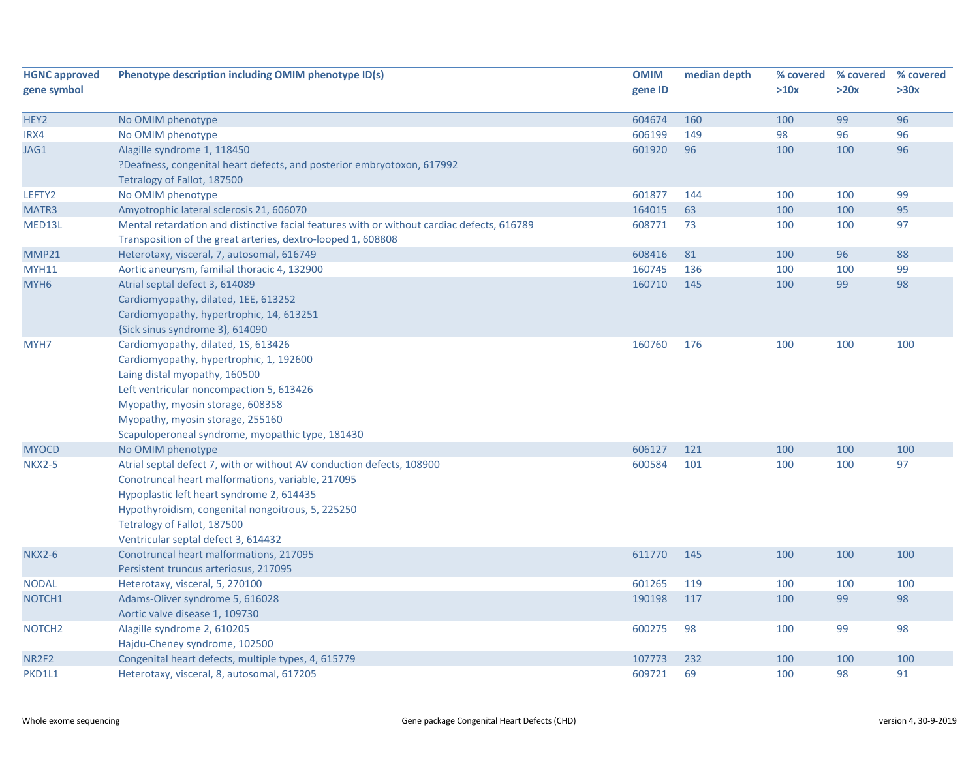| <b>HGNC approved</b> | Phenotype description including OMIM phenotype ID(s)                                       | <b>OMIM</b> | median depth |      | % covered % covered | % covered |
|----------------------|--------------------------------------------------------------------------------------------|-------------|--------------|------|---------------------|-----------|
| gene symbol          |                                                                                            | gene ID     |              | >10x | >20x                | >30x      |
| HEY2                 | No OMIM phenotype                                                                          | 604674      | 160          | 100  | 99                  | 96        |
| IRX4                 | No OMIM phenotype                                                                          | 606199      | 149          | 98   | 96                  | 96        |
| JAG1                 | Alagille syndrome 1, 118450                                                                | 601920      | 96           | 100  | 100                 | 96        |
|                      | ?Deafness, congenital heart defects, and posterior embryotoxon, 617992                     |             |              |      |                     |           |
|                      | Tetralogy of Fallot, 187500                                                                |             |              |      |                     |           |
| LEFTY2               | No OMIM phenotype                                                                          | 601877      | 144          | 100  | 100                 | 99        |
| MATR3                | Amyotrophic lateral sclerosis 21, 606070                                                   | 164015      | 63           | 100  | 100                 | 95        |
| MED13L               | Mental retardation and distinctive facial features with or without cardiac defects, 616789 | 608771      | 73           | 100  | 100                 | 97        |
|                      | Transposition of the great arteries, dextro-looped 1, 608808                               |             |              |      |                     |           |
| MMP21                | Heterotaxy, visceral, 7, autosomal, 616749                                                 | 608416      | 81           | 100  | 96                  | 88        |
| <b>MYH11</b>         | Aortic aneurysm, familial thoracic 4, 132900                                               | 160745      | 136          | 100  | 100                 | 99        |
| MYH <sub>6</sub>     | Atrial septal defect 3, 614089                                                             | 160710      | 145          | 100  | 99                  | 98        |
|                      | Cardiomyopathy, dilated, 1EE, 613252                                                       |             |              |      |                     |           |
|                      | Cardiomyopathy, hypertrophic, 14, 613251                                                   |             |              |      |                     |           |
|                      | {Sick sinus syndrome 3}, 614090                                                            |             |              |      |                     |           |
| MYH7                 | Cardiomyopathy, dilated, 1S, 613426                                                        | 160760      | 176          | 100  | 100                 | 100       |
|                      | Cardiomyopathy, hypertrophic, 1, 192600                                                    |             |              |      |                     |           |
|                      | Laing distal myopathy, 160500                                                              |             |              |      |                     |           |
|                      | Left ventricular noncompaction 5, 613426                                                   |             |              |      |                     |           |
|                      | Myopathy, myosin storage, 608358                                                           |             |              |      |                     |           |
|                      | Myopathy, myosin storage, 255160                                                           |             |              |      |                     |           |
|                      | Scapuloperoneal syndrome, myopathic type, 181430                                           |             |              |      |                     |           |
| <b>MYOCD</b>         | No OMIM phenotype                                                                          | 606127      | 121          | 100  | 100                 | 100       |
| <b>NKX2-5</b>        | Atrial septal defect 7, with or without AV conduction defects, 108900                      | 600584      | 101          | 100  | 100                 | 97        |
|                      | Conotruncal heart malformations, variable, 217095                                          |             |              |      |                     |           |
|                      | Hypoplastic left heart syndrome 2, 614435                                                  |             |              |      |                     |           |
|                      | Hypothyroidism, congenital nongoitrous, 5, 225250                                          |             |              |      |                     |           |
|                      | Tetralogy of Fallot, 187500                                                                |             |              |      |                     |           |
|                      | Ventricular septal defect 3, 614432                                                        |             |              |      |                     |           |
| <b>NKX2-6</b>        | Conotruncal heart malformations, 217095                                                    | 611770      | 145          | 100  | 100                 | 100       |
|                      | Persistent truncus arteriosus, 217095                                                      |             |              |      |                     |           |
| <b>NODAL</b>         | Heterotaxy, visceral, 5, 270100                                                            | 601265      | 119          | 100  | 100                 | 100       |
| NOTCH <sub>1</sub>   | Adams-Oliver syndrome 5, 616028                                                            | 190198      | 117          | 100  | 99                  | 98        |
|                      | Aortic valve disease 1, 109730                                                             |             |              |      |                     |           |
| NOTCH <sub>2</sub>   | Alagille syndrome 2, 610205                                                                | 600275      | 98           | 100  | 99                  | 98        |
| NR2F2                | Hajdu-Cheney syndrome, 102500<br>Congenital heart defects, multiple types, 4, 615779       | 107773      | 232          | 100  | 100                 | 100       |
| PKD1L1               | Heterotaxy, visceral, 8, autosomal, 617205                                                 | 609721      | 69           | 100  | 98                  | 91        |
|                      |                                                                                            |             |              |      |                     |           |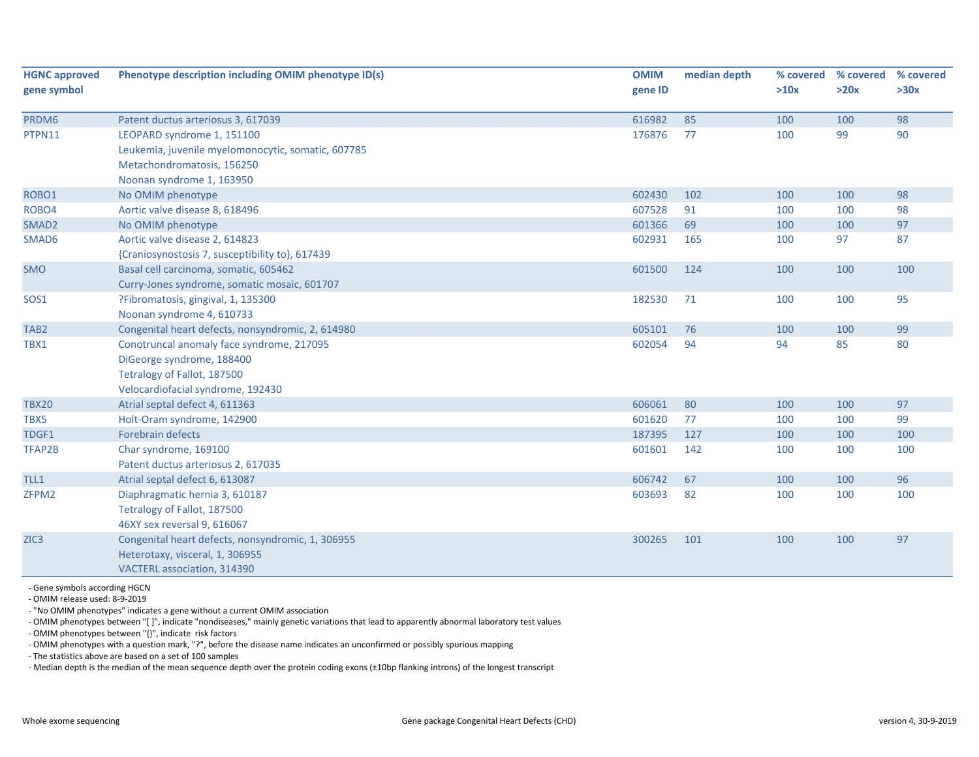| <b>HGNC approved</b> | Phenotype description including OMIM phenotype ID(s) | <b>OMIM</b> | median depth | % covered | % covered | % covered |
|----------------------|------------------------------------------------------|-------------|--------------|-----------|-----------|-----------|
| gene symbol          |                                                      | gene ID     |              | >10x      | >20x      | >30x      |
| PRDM6                | Patent ductus arteriosus 3, 617039                   | 616982      | 85           | 100       | 100       | 98        |
| PTPN11               | LEOPARD syndrome 1, 151100                           | 176876      | 77           | 100       | 99        | 90        |
|                      | Leukemia, juvenile myelomonocytic, somatic, 607785   |             |              |           |           |           |
|                      | Metachondromatosis, 156250                           |             |              |           |           |           |
|                      | Noonan syndrome 1, 163950                            |             |              |           |           |           |
| ROBO1                | No OMIM phenotype                                    | 602430      | 102          | 100       | 100       | 98        |
| ROBO4                | Aortic valve disease 8, 618496                       | 607528      | 91           | 100       | 100       | 98        |
| SMAD <sub>2</sub>    | No OMIM phenotype                                    | 601366      | 69           | 100       | 100       | 97        |
| SMAD6                | Aortic valve disease 2, 614823                       | 602931      | 165          | 100       | 97        | 87        |
|                      | {Craniosynostosis 7, susceptibility to}, 617439      |             |              |           |           |           |
| <b>SMO</b>           | Basal cell carcinoma, somatic, 605462                | 601500      | 124          | 100       | 100       | 100       |
|                      | Curry-Jones syndrome, somatic mosaic, 601707         |             |              |           |           |           |
| <b>SOS1</b>          | ?Fibromatosis, gingival, 1, 135300                   | 182530      | 71           | 100       | 100       | 95        |
|                      | Noonan syndrome 4, 610733                            |             |              |           |           |           |
| TAB <sub>2</sub>     | Congenital heart defects, nonsyndromic, 2, 614980    | 605101      | 76           | 100       | 100       | 99        |
| TBX1                 | Conotruncal anomaly face syndrome, 217095            | 602054      | 94           | 94        | 85        | 80        |
|                      | DiGeorge syndrome, 188400                            |             |              |           |           |           |
|                      | Tetralogy of Fallot, 187500                          |             |              |           |           |           |
|                      | Velocardiofacial syndrome, 192430                    |             |              |           |           |           |
| <b>TBX20</b>         | Atrial septal defect 4, 611363                       | 606061      | 80           | 100       | 100       | 97        |
| TBX5                 | Holt-Oram syndrome, 142900                           | 601620      | 77           | 100       | 100       | 99        |
| TDGF1                | <b>Forebrain defects</b>                             | 187395      | 127          | 100       | 100       | 100       |
| TFAP2B               | Char syndrome, 169100                                | 601601      | 142          | 100       | 100       | 100       |
|                      | Patent ductus arteriosus 2, 617035                   |             |              |           |           |           |
| TLL1                 | Atrial septal defect 6, 613087                       | 606742      | 67           | 100       | 100       | 96        |
| ZFPM2                | Diaphragmatic hernia 3, 610187                       | 603693      | 82           | 100       | 100       | 100       |
|                      | Tetralogy of Fallot, 187500                          |             |              |           |           |           |
|                      | 46XY sex reversal 9, 616067                          |             |              |           |           |           |
| ZIC <sub>3</sub>     | Congenital heart defects, nonsyndromic, 1, 306955    | 300265      | 101          | 100       | 100       | 97        |
|                      | Heterotaxy, visceral, 1, 306955                      |             |              |           |           |           |
|                      | VACTERL association, 314390                          |             |              |           |           |           |

‐ Gene symbols according HGCN

‐ OMIM release used: 8‐9‐2019

‐ "No OMIM phenotypes" indicates a gene without a current OMIM association

‐ OMIM phenotypes between "[ ]", indicate "nondiseases," mainly genetic variations that lead to apparently abnormal laboratory test values

‐ OMIM phenotypes between "{}", indicate risk factors

‐ OMIM phenotypes with a question mark, "?", before the disease name indicates an unconfirmed or possibly spurious mapping

‐ The statistics above are based on a set of 100 samples

‐ Median depth is the median of the mean sequence depth over the protein coding exons (±10bp flanking introns) of the longest transcript